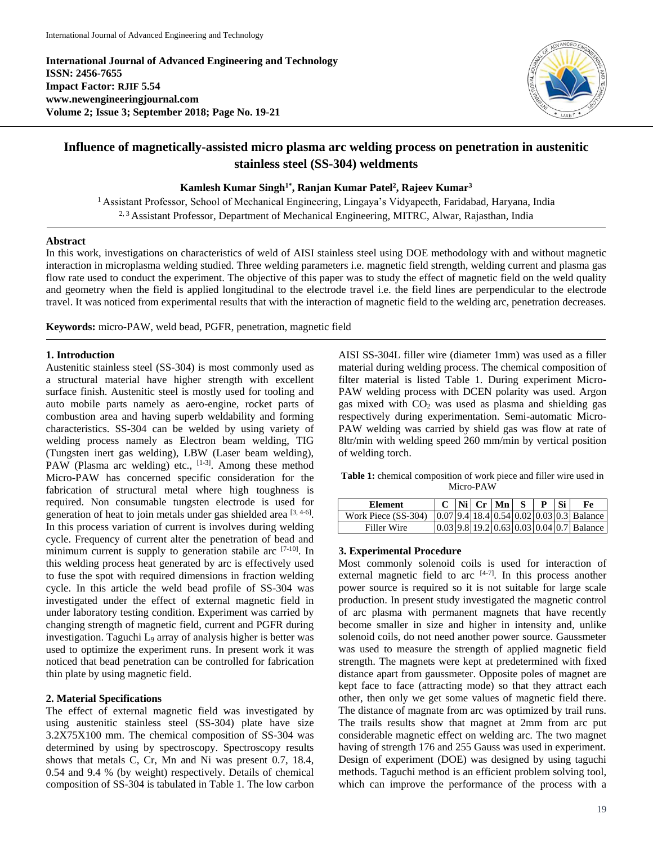**International Journal of Advanced Engineering and Technology ISSN: 2456-7655 Impact Factor: RJIF 5.54 www.newengineeringjournal.com Volume 2; Issue 3; September 2018; Page No. 19-21**



# **Influence of magnetically-assisted micro plasma arc welding process on penetration in austenitic stainless steel (SS-304) weldments**

### **Kamlesh Kumar Singh1\* , Ranjan Kumar Patel<sup>2</sup> , Rajeev Kumar<sup>3</sup>**

<sup>1</sup> Assistant Professor, School of Mechanical Engineering, Lingaya's Vidyapeeth, Faridabad, Haryana, India <sup>2, 3</sup> Assistant Professor, Department of Mechanical Engineering, MITRC, Alwar, Rajasthan, India

#### **Abstract**

In this work, investigations on characteristics of weld of AISI stainless steel using DOE methodology with and without magnetic interaction in microplasma welding studied. Three welding parameters i.e. magnetic field strength, welding current and plasma gas flow rate used to conduct the experiment. The objective of this paper was to study the effect of magnetic field on the weld quality and geometry when the field is applied longitudinal to the electrode travel i.e. the field lines are perpendicular to the electrode travel. It was noticed from experimental results that with the interaction of magnetic field to the welding arc, penetration decreases.

**Keywords:** micro-PAW, weld bead, PGFR, penetration, magnetic field

#### **1. Introduction**

Austenitic stainless steel (SS-304) is most commonly used as a structural material have higher strength with excellent surface finish. Austenitic steel is mostly used for tooling and auto mobile parts namely as aero-engine, rocket parts of combustion area and having superb weldability and forming characteristics. SS-304 can be welded by using variety of welding process namely as Electron beam welding, TIG (Tungsten inert gas welding), LBW (Laser beam welding), PAW (Plasma arc welding) etc., [1-3]. Among these method Micro-PAW has concerned specific consideration for the fabrication of structural metal where high toughness is required. Non consumable tungsten electrode is used for generation of heat to join metals under gas shielded area  $[3, 4-6]$ . In this process variation of current is involves during welding cycle. Frequency of current alter the penetration of bead and minimum current is supply to generation stabile arc [7-10]. In this welding process heat generated by arc is effectively used to fuse the spot with required dimensions in fraction welding cycle. In this article the weld bead profile of SS-304 was investigated under the effect of external magnetic field in under laboratory testing condition. Experiment was carried by changing strength of magnetic field, current and PGFR during investigation. Taguchi L<sup>9</sup> array of analysis higher is better was used to optimize the experiment runs. In present work it was noticed that bead penetration can be controlled for fabrication thin plate by using magnetic field.

# **2. Material Specifications**

The effect of external magnetic field was investigated by using austenitic stainless steel (SS-304) plate have size 3.2X75X100 mm. The chemical composition of SS-304 was determined by using by spectroscopy. Spectroscopy results shows that metals C, Cr, Mn and Ni was present 0.7, 18.4, 0.54 and 9.4 % (by weight) respectively. Details of chemical composition of SS-304 is tabulated in Table 1. The low carbon AISI SS-304L filler wire (diameter 1mm) was used as a filler material during welding process. The chemical composition of filter material is listed Table 1. During experiment Micro-PAW welding process with DCEN polarity was used. Argon gas mixed with  $CO<sub>2</sub>$  was used as plasma and shielding gas respectively during experimentation. Semi-automatic Micro-PAW welding was carried by shield gas was flow at rate of 8ltr/min with welding speed 260 mm/min by vertical position of welding torch.

**Table 1:** chemical composition of work piece and filler wire used in Micro-PAW

| Element             |  | $\vert$ Ni $\vert$ Cr $\vert$ Mn $\vert$ S | P Si | Fe                                                       |
|---------------------|--|--------------------------------------------|------|----------------------------------------------------------|
| Work Piece (SS-304) |  |                                            |      | $[0.07]$ 9.4 $[18.4]$ 0.54 $[0.02]$ 0.03 $[0.3]$ Balance |
| Filler Wire         |  |                                            |      | $ 0.03 9.8 19.2 0.63 0.03 0.04 0.7 $ Balance             |

# **3. Experimental Procedure**

Most commonly solenoid coils is used for interaction of external magnetic field to arc  $[4-7]$ . In this process another power source is required so it is not suitable for large scale production. In present study investigated the magnetic control of arc plasma with permanent magnets that have recently become smaller in size and higher in intensity and, unlike solenoid coils, do not need another power source. Gaussmeter was used to measure the strength of applied magnetic field strength. The magnets were kept at predetermined with fixed distance apart from gaussmeter. Opposite poles of magnet are kept face to face (attracting mode) so that they attract each other, then only we get some values of magnetic field there. The distance of magnate from arc was optimized by trail runs. The trails results show that magnet at 2mm from arc put considerable magnetic effect on welding arc. The two magnet having of strength 176 and 255 Gauss was used in experiment. Design of experiment (DOE) was designed by using taguchi methods. Taguchi method is an efficient problem solving tool, which can improve the performance of the process with a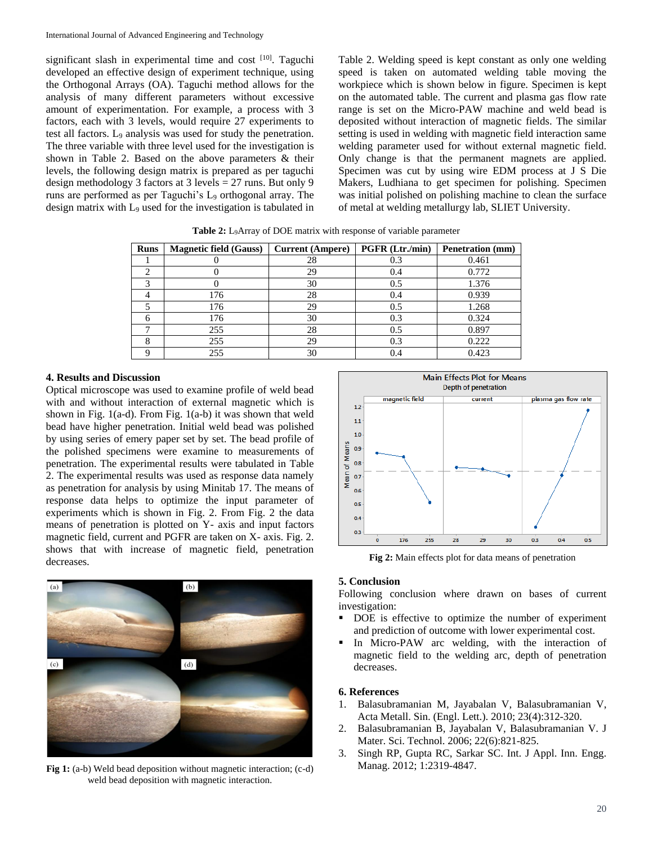significant slash in experimental time and cost [10]. Taguchi developed an effective design of experiment technique, using the Orthogonal Arrays (OA). Taguchi method allows for the analysis of many different parameters without excessive amount of experimentation. For example, a process with 3 factors, each with 3 levels, would require 27 experiments to test all factors. L<sup>9</sup> analysis was used for study the penetration. The three variable with three level used for the investigation is shown in Table 2. Based on the above parameters & their levels, the following design matrix is prepared as per taguchi design methodology 3 factors at 3 levels = 27 runs. But only 9 runs are performed as per Taguchi's L<sub>9</sub> orthogonal array. The design matrix with L<sub>9</sub> used for the investigation is tabulated in Table 2. Welding speed is kept constant as only one welding speed is taken on automated welding table moving the workpiece which is shown below in figure. Specimen is kept on the automated table. The current and plasma gas flow rate range is set on the Micro-PAW machine and weld bead is deposited without interaction of magnetic fields. The similar setting is used in welding with magnetic field interaction same welding parameter used for without external magnetic field. Only change is that the permanent magnets are applied. Specimen was cut by using wire EDM process at J S Die Makers, Ludhiana to get specimen for polishing. Specimen was initial polished on polishing machine to clean the surface of metal at welding metallurgy lab, SLIET University.

| <b>Runs</b> | <b>Magnetic field (Gauss)</b> | <b>Current (Ampere)</b> | <b>PGFR</b> (Ltr./min) | <b>Penetration</b> (mm) |
|-------------|-------------------------------|-------------------------|------------------------|-------------------------|
|             |                               | 28                      | 0.3                    | 0.461                   |
|             |                               | 29                      | 0.4                    | 0.772                   |
|             |                               | 30                      | 0.5                    | 1.376                   |
|             | 176                           | 28                      | 0.4                    | 0.939                   |
|             | 176                           | 29                      | 0.5                    | 1.268                   |
|             | 176                           | 30                      | 0.3                    | 0.324                   |
| −           | 255                           | 28                      | 0.5                    | 0.897                   |
| o           | 255                           | 29                      | 0.3                    | 0.222                   |
|             | 255                           | 30                      |                        | 0.423                   |

Table 2: L<sub>9</sub>Array of DOE matrix with response of variable parameter

### **4. Results and Discussion**

Optical microscope was used to examine profile of weld bead with and without interaction of external magnetic which is shown in Fig. 1(a-d). From Fig. 1(a-b) it was shown that weld bead have higher penetration. Initial weld bead was polished by using series of emery paper set by set. The bead profile of the polished specimens were examine to measurements of penetration. The experimental results were tabulated in Table 2. The experimental results was used as response data namely as penetration for analysis by using Minitab 17. The means of response data helps to optimize the input parameter of experiments which is shown in Fig. 2. From Fig. 2 the data means of penetration is plotted on Y- axis and input factors magnetic field, current and PGFR are taken on X- axis. Fig. 2. shows that with increase of magnetic field, penetration decreases.



**Fig 1:** (a-b) Weld bead deposition without magnetic interaction; (c-d) weld bead deposition with magnetic interaction.



**Fig 2:** Main effects plot for data means of penetration

### **5. Conclusion**

Following conclusion where drawn on bases of current investigation:

- DOE is effective to optimize the number of experiment and prediction of outcome with lower experimental cost.
- In Micro-PAW arc welding, with the interaction of magnetic field to the welding arc, depth of penetration decreases.

#### **6. References**

- 1. Balasubramanian M, Jayabalan V, Balasubramanian V, Acta Metall. Sin. (Engl. Lett.). 2010; 23(4):312-320.
- 2. Balasubramanian B, Jayabalan V, Balasubramanian V. J Mater. Sci. Technol. 2006; 22(6):821-825.
- 3. Singh RP, Gupta RC, Sarkar SC. Int. J Appl. Inn. Engg. Manag. 2012; 1:2319-4847.